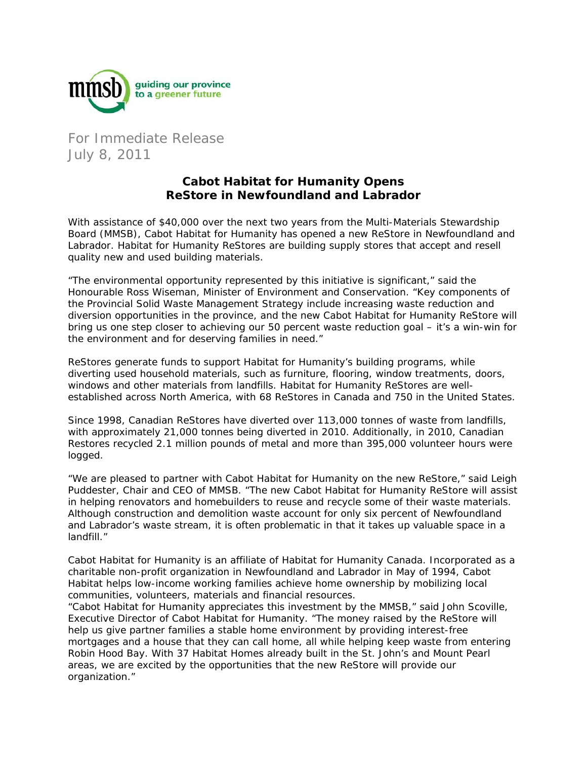

For Immediate Release July 8, 2011

## **Cabot Habitat for Humanity Opens ReStore in Newfoundland and Labrador**

With assistance of \$40,000 over the next two years from the Multi-Materials Stewardship Board (MMSB), Cabot Habitat for Humanity has opened a new ReStore in Newfoundland and Labrador. Habitat for Humanity ReStores are building supply stores that accept and resell quality new and used building materials.

"The environmental opportunity represented by this initiative is significant," said the Honourable Ross Wiseman, Minister of Environment and Conservation. "Key components of the Provincial Solid Waste Management Strategy include increasing waste reduction and diversion opportunities in the province, and the new Cabot Habitat for Humanity ReStore will bring us one step closer to achieving our 50 percent waste reduction goal – it's a win-win for the environment and for deserving families in need."

ReStores generate funds to support Habitat for Humanity's building programs, while diverting used household materials, such as furniture, flooring, window treatments, doors, windows and other materials from landfills. Habitat for Humanity ReStores are wellestablished across North America, with 68 ReStores in Canada and 750 in the United States.

Since 1998, Canadian ReStores have diverted over 113,000 tonnes of waste from landfills, with approximately 21,000 tonnes being diverted in 2010. Additionally, in 2010, Canadian Restores recycled 2.1 million pounds of metal and more than 395,000 volunteer hours were logged.

"We are pleased to partner with Cabot Habitat for Humanity on the new ReStore," said Leigh Puddester, Chair and CEO of MMSB. "The new Cabot Habitat for Humanity ReStore will assist in helping renovators and homebuilders to reuse and recycle some of their waste materials. Although construction and demolition waste account for only six percent of Newfoundland and Labrador's waste stream, it is often problematic in that it takes up valuable space in a landfill."

Cabot Habitat for Humanity is an affiliate of Habitat for Humanity Canada. Incorporated as a charitable non-profit organization in Newfoundland and Labrador in May of 1994, Cabot Habitat helps low-income working families achieve home ownership by mobilizing local communities, volunteers, materials and financial resources.

"Cabot Habitat for Humanity appreciates this investment by the MMSB," said John Scoville, Executive Director of Cabot Habitat for Humanity. "The money raised by the ReStore will help us give partner families a stable home environment by providing interest-free mortgages and a house that they can call home, all while helping keep waste from entering Robin Hood Bay. With 37 Habitat Homes already built in the St. John's and Mount Pearl areas, we are excited by the opportunities that the new ReStore will provide our organization."